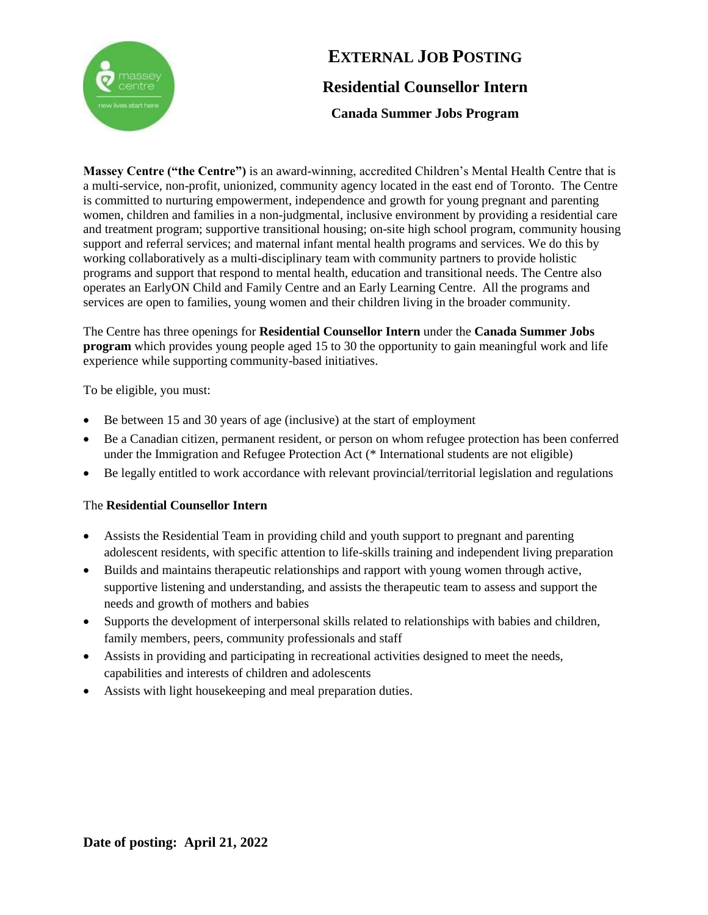

# **EXTERNAL JOB POSTING Residential Counsellor Intern**

**Canada Summer Jobs Program**

**Massey Centre ("the Centre")** is an award-winning, accredited Children's Mental Health Centre that is a multi-service, non-profit, unionized, community agency located in the east end of Toronto. The Centre is committed to nurturing empowerment, independence and growth for young pregnant and parenting women, children and families in a non-judgmental, inclusive environment by providing a residential care and treatment program; supportive transitional housing; on-site high school program, community housing support and referral services; and maternal infant mental health programs and services. We do this by working collaboratively as a multi-disciplinary team with community partners to provide holistic programs and support that respond to mental health, education and transitional needs. The Centre also operates an EarlyON Child and Family Centre and an Early Learning Centre. All the programs and services are open to families, young women and their children living in the broader community.

The Centre has three openings for **Residential Counsellor Intern** under the **Canada Summer Jobs program** which provides young people aged 15 to 30 the opportunity to gain meaningful work and life experience while supporting community-based initiatives.

To be eligible, you must:

- Be between 15 and 30 years of age (inclusive) at the start of employment
- Be a Canadian citizen, permanent resident, or person on whom refugee protection has been conferred under the Immigration and Refugee Protection Act (\* International students are not eligible)
- Be legally entitled to work accordance with relevant provincial/territorial legislation and regulations

### The **Residential Counsellor Intern**

- Assists the Residential Team in providing child and youth support to pregnant and parenting adolescent residents, with specific attention to life-skills training and independent living preparation
- Builds and maintains therapeutic relationships and rapport with young women through active, supportive listening and understanding, and assists the therapeutic team to assess and support the needs and growth of mothers and babies
- Supports the development of interpersonal skills related to relationships with babies and children, family members, peers, community professionals and staff
- Assists in providing and participating in recreational activities designed to meet the needs, capabilities and interests of children and adolescents
- Assists with light housekeeping and meal preparation duties.